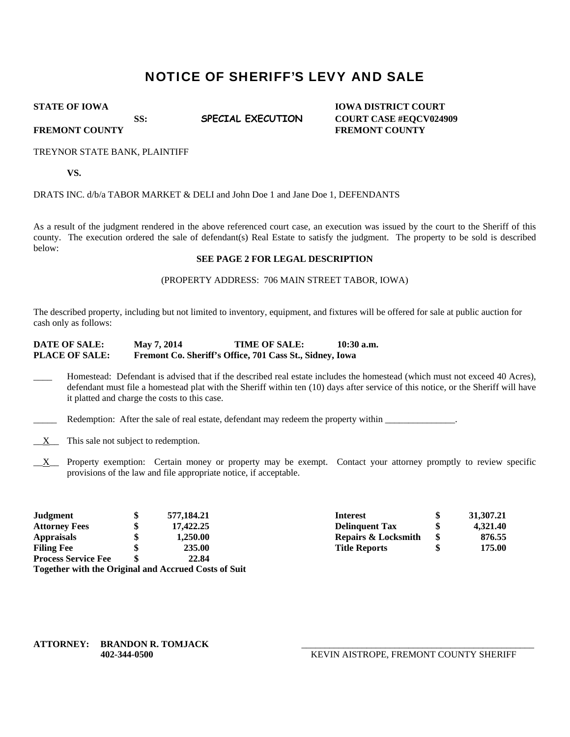# NOTICE OF SHERIFF'S LEVY AND SALE

**STATE OF IOWA** IOWA IOWA DISTRICT COURT SS: **SPECIAL EXECUTION COURT CASE #EOCV024909** 

**FREMONT COUNTY FREMONT COUNTY** 

#### TREYNOR STATE BANK, PLAINTIFF

**VS.** 

### DRATS INC. d/b/a TABOR MARKET & DELI and John Doe 1 and Jane Doe 1, DEFENDANTS

As a result of the judgment rendered in the above referenced court case, an execution was issued by the court to the Sheriff of this county. The execution ordered the sale of defendant(s) Real Estate to satisfy the judgment. The property to be sold is described below:

## **SEE PAGE 2 FOR LEGAL DESCRIPTION**

#### (PROPERTY ADDRESS: 706 MAIN STREET TABOR, IOWA)

The described property, including but not limited to inventory, equipment, and fixtures will be offered for sale at public auction for cash only as follows:

## **DATE OF SALE: May 7, 2014 TIME OF SALE: 10:30 a.m. PLACE OF SALE: Fremont Co. Sheriff's Office, 701 Cass St., Sidney, Iowa**

Homestead: Defendant is advised that if the described real estate includes the homestead (which must not exceed 40 Acres), defendant must file a homestead plat with the Sheriff within ten (10) days after service of this notice, or the Sheriff will have it platted and charge the costs to this case.

Redemption: After the sale of real estate, defendant may redeem the property within \_\_\_\_\_\_\_\_\_\_\_\_\_\_.

- $\underline{X}$  This sale not subject to redemption.
- $X$  Property exemption: Certain money or property may be exempt. Contact your attorney promptly to review specific provisions of the law and file appropriate notice, if acceptable.

| <b>Judgment</b>            | 577.184.21                                           | <b>Interest</b>                | 31, 307. 21 |
|----------------------------|------------------------------------------------------|--------------------------------|-------------|
| <b>Attorney Fees</b>       | 17,422.25                                            | <b>Delinguent Tax</b>          | 4.321.40    |
| <b>Appraisals</b>          | 1.250.00                                             | <b>Repairs &amp; Locksmith</b> | 876.55      |
| <b>Filing Fee</b>          | 235.00                                               | <b>Title Reports</b>           | 175.00      |
| <b>Process Service Fee</b> | 22.84                                                |                                |             |
|                            | Together with the Original and Accrued Costs of Suit |                                |             |

**ATTORNEY: BRANDON R. TOMJACK** 

 **402-344-0500** KEVIN AISTROPE, FREMONT COUNTY SHERIFF